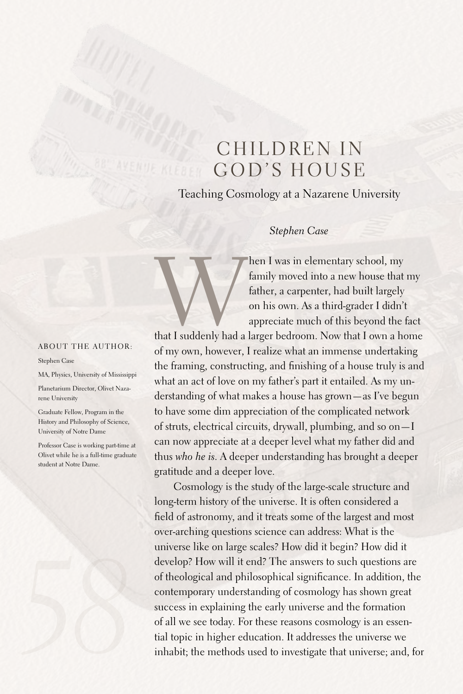# CHILDREN IN GOD'S HOUSE

Teaching Cosmology at a Nazarene University

## *Stephen Case*

Then I was in elementary school, my<br>
family moved into a new house that my<br>
father, a carpenter, had built largely<br>
on his own. As a third-grader I didn't<br>
appreciate much of this beyond the fact<br>
that I suddenly had a lar family moved into a new house that my father, a carpenter, had built largely on his own.As a third-grader I didn't appreciate much of this beyond the fact

of my own, however, I realize what an immense undertaking the framing, constructing, and finishing of a house truly is and what an act of love on my father's part it entailed. As my understanding of what makes a house has grown—as I've begun to have some dim appreciation of the complicated network of struts, electrical circuits, drywall, plumbing, and so on—I can now appreciate at a deeper level what my father did and thus *who he is*.A deeper understanding has brought a deeper gratitude and a deeper love.

Cosmology is the study of the large-scale structure and long-term history of the universe. It is often considered a field of astronomy, and it treats some of the largest and most over-arching questions science can address: What is the universe like on large scales? How did it begin? How did it develop? How will it end? The answers to such questions are of theological and philosophical significance. In addition, the contemporary understanding of cosmology has shown great success in explaining the early universe and the formation of all we see today. For these reasons cosmology is an essential topic in higher education. It addresses the universe we inhabit; the methods used to investigate that universe; and, for

#### ABOUT THE AUTHOR:

#### Stephen Case

MA, Physics, University of Mississippi

Planetarium Director, Olivet Nazarene University

Graduate Fellow, Program in the History and Philosophy of Science, University of Notre Dame

Professor Case is working part-time at Olivet while he is a full-time graduate student at Notre Dame.

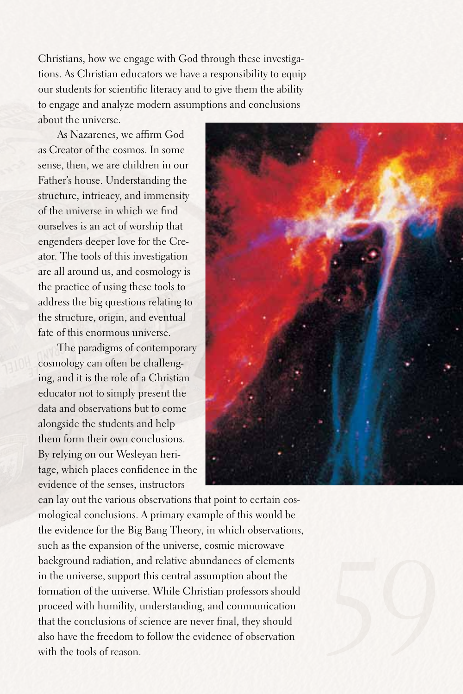Christians, how we engage with God through these investigations.As Christian educators we have a responsibility to equip our students for scientific literacy and to give them the ability to engage and analyze modern assumptions and conclusions about the universe.

As Nazarenes, we affirm God as Creator of the cosmos. In some sense, then, we are children in our Father's house. Understanding the structure, intricacy, and immensity of the universe in which we find ourselves is an act of worship that engenders deeper love for the Creator. The tools of this investigation are all around us, and cosmology is the practice of using these tools to address the big questions relating to the structure, origin, and eventual fate of this enormous universe.

The paradigms of contemporary cosmology can often be challenging, and it is the role of a Christian educator not to simply present the data and observations but to come alongside the students and help them form their own conclusions. By relying on our Wesleyan heritage, which places confidence in the evidence of the senses, instructors



can lay out the various observations that point to certain cosmological conclusions.A primary example of this would be the evidence for the Big Bang Theory, in which observations, such as the expansion of the universe, cosmic microwave background radiation, and relative abundances of elements in the universe, support this central assumption about the formation of the universe. While Christian professors should proceed with humility, understanding, and communication that the conclusions of science are never final, they should also have the freedom to follow the evidence of observation with the tools of reason.

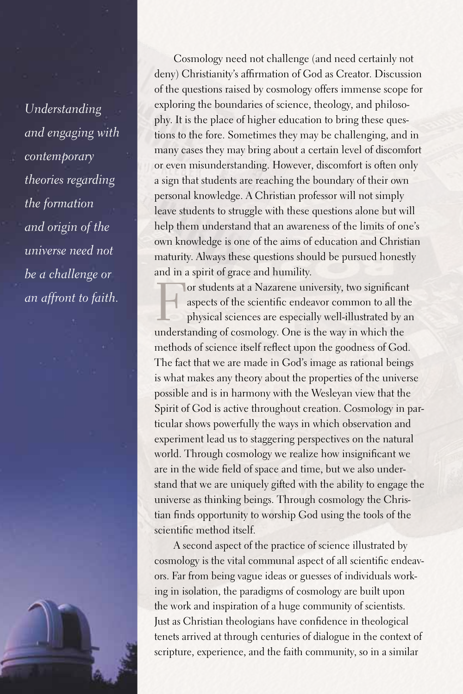*Understanding and engaging with contemporary theories regarding the formation and origin of the universe need not be a challenge or an affront to faith.* 

*60*

Cosmology need not challenge (and need certainly not deny) Christianity's affirmation of God as Creator. Discussion of the questions raised by cosmology offers immense scope for exploring the boundaries of science, theology, and philosophy. It is the place of higher education to bring these questions to the fore. Sometimes they may be challenging, and in many cases they may bring about a certain level of discomfort or even misunderstanding. However, discomfort is often only a sign that students are reaching the boundary of their own personal knowledge.A Christian professor will not simply leave students to struggle with these questions alone but will help them understand that an awareness of the limits of one's own knowledge is one of the aims of education and Christian maturity.Always these questions should be pursued honestly and in a spirit of grace and humility.

For students at a Nazarene university, two significant<br>aspects of the scientific endeavor common to all the<br>physical sciences are especially well-illustrated by are<br>understanding of occursions. One is the way in which the aspects of the scientific endeavor common to all the physical sciences are especially well-illustrated by an understanding of cosmology. One is the way in which the methods of science itself reflect upon the goodness of God. The fact that we are made in God's image as rational beings is what makes any theory about the properties of the universe possible and is in harmony with the Wesleyan view that the Spirit of God is active throughout creation. Cosmology in particular shows powerfully the ways in which observation and experiment lead us to staggering perspectives on the natural world. Through cosmology we realize how insignificant we are in the wide field of space and time, but we also understand that we are uniquely gifted with the ability to engage the universe as thinking beings. Through cosmology the Christian finds opportunity to worship God using the tools of the scientific method itself.

A second aspect of the practice of science illustrated by cosmology is the vital communal aspect of all scientific endeavors.Far from being vague ideas or guesses of individuals working in isolation, the paradigms of cosmology are built upon the work and inspiration of a huge community of scientists. Just as Christian theologians have confidence in theological tenets arrived at through centuries of dialogue in the context of scripture, experience, and the faith community, so in a similar